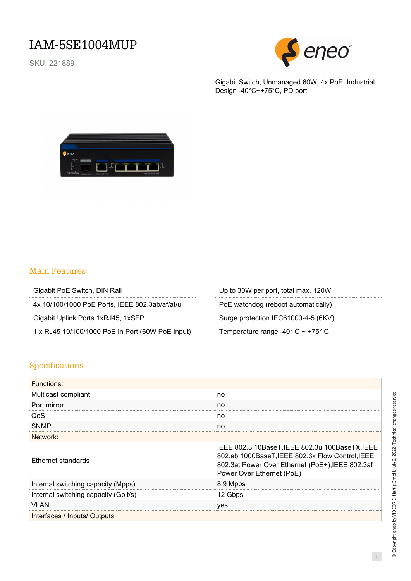### IAM-5SE1004MUP

SKU: 221889



Gigabit Switch, Unmanaged 60W, 4x PoE, Industrial Design -40°C~+75°C, PD port



#### Main Features

|  |  |  |  |  |  |  |  |  |  |  |  |  |  |  |  |  |  |  |  | Gigabit PoE Switch, DIN Rail |  |  |
|--|--|--|--|--|--|--|--|--|--|--|--|--|--|--|--|--|--|--|--|------------------------------|--|--|
|  |  |  |  |  |  |  |  |  |  |  |  |  |  |  |  |  |  |  |  |                              |  |  |

4x 10/100/1000 PoE Ports, IEEE 802.3ab/af/at/u PoE watchdog (reboot automatically)

1 x RJ45 10/100/1000 PoE In Port (60W PoE Input) Temperature range -40° C ~ +75° C

| Gigabit PoE Switch, DIN Rail | Up to 30W per port, total max. 120W |
|------------------------------|-------------------------------------|
|                              |                                     |

Gigabit Uplink Ports 1xRJ45, 1xSFP Surge protection IEC61000-4-5 (6KV)

#### Specifications

| Functions:                           |                                                                                                                                                                                      |  |  |  |  |  |  |  |
|--------------------------------------|--------------------------------------------------------------------------------------------------------------------------------------------------------------------------------------|--|--|--|--|--|--|--|
| Multicast compliant                  | no                                                                                                                                                                                   |  |  |  |  |  |  |  |
| Port mirror                          | no                                                                                                                                                                                   |  |  |  |  |  |  |  |
| QoS                                  | no                                                                                                                                                                                   |  |  |  |  |  |  |  |
| SNMP                                 | no                                                                                                                                                                                   |  |  |  |  |  |  |  |
| Network:                             |                                                                                                                                                                                      |  |  |  |  |  |  |  |
| <b>Ethernet standards</b>            | IEEE 802.3 10BaseT, IEEE 802.3u 100BaseTX, IEEE<br>802.ab 1000BaseT, IEEE 802.3x Flow Control, IEEE<br>802.3at Power Over Ethernet (PoE+), IEEE 802.3af<br>Power Over Ethernet (PoE) |  |  |  |  |  |  |  |
| Internal switching capacity (Mpps)   | 8,9 Mpps                                                                                                                                                                             |  |  |  |  |  |  |  |
| Internal switching capacity (Gbit/s) | 12 Gbps                                                                                                                                                                              |  |  |  |  |  |  |  |
| VLAN                                 | ves                                                                                                                                                                                  |  |  |  |  |  |  |  |
| Interfaces / Inputs/ Outputs:        |                                                                                                                                                                                      |  |  |  |  |  |  |  |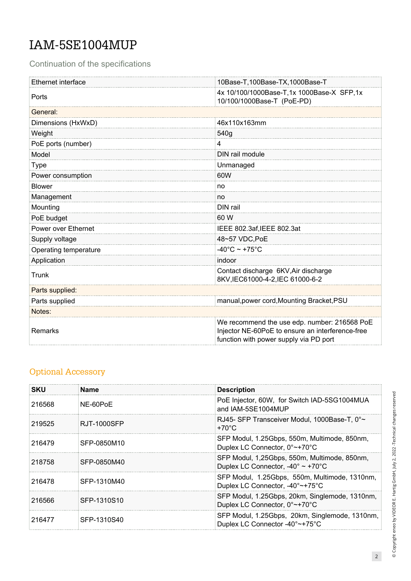## IAM-5SE1004MUP

Continuation of the specifications

| Ethernet interface    | 10Base-T,100Base-TX,1000Base-T                                                                                                             |
|-----------------------|--------------------------------------------------------------------------------------------------------------------------------------------|
| Ports                 | 4x 10/100/1000Base-T,1x 1000Base-X SFP,1x<br>10/100/1000Base-T (PoE-PD)                                                                    |
| General:              |                                                                                                                                            |
| Dimensions (HxWxD)    | 46x110x163mm                                                                                                                               |
| Weight                | 540g                                                                                                                                       |
| PoE ports (number)    | 4                                                                                                                                          |
| Model                 | DIN rail module                                                                                                                            |
| <b>Type</b>           | Unmanaged                                                                                                                                  |
| Power consumption     | 60W                                                                                                                                        |
| <b>Blower</b>         | no                                                                                                                                         |
| Management            | no                                                                                                                                         |
| Mounting              | DIN rail                                                                                                                                   |
| PoE budget            | 60 W                                                                                                                                       |
| Power over Ethernet   | IEEE 802.3af, IEEE 802.3at                                                                                                                 |
| Supply voltage        | 48~57 VDC, PoE                                                                                                                             |
| Operating temperature | $-40^{\circ}$ C ~ +75 $^{\circ}$ C                                                                                                         |
| Application           | indoor                                                                                                                                     |
| Trunk                 | Contact discharge 6KV, Air discharge<br>8KV,IEC61000-4-2,IEC 61000-6-2                                                                     |
| Parts supplied:       |                                                                                                                                            |
| Parts supplied        | manual, power cord, Mounting Bracket, PSU                                                                                                  |
| Notes:                |                                                                                                                                            |
| Remarks               | We recommend the use edp. number: 216568 PoE<br>Injector NE-60PoE to ensure an interference-free<br>function with power supply via PD port |

### Optional Accessory

| <b>SKU</b> | Name        | <b>Description</b>                                                                                    |
|------------|-------------|-------------------------------------------------------------------------------------------------------|
| 216568     | NE-60PoE    | PoE Injector, 60W, for Switch IAD-5SG1004MUA<br>and IAM-5SE1004MUP                                    |
| 219525     | RJT-1000SFP | RJ45- SFP Transceiver Modul, 1000Base-T, 0°~<br>$+70^{\circ}$ C                                       |
| 216479     | SFP-0850M10 | SFP Modul, 1.25Gbps, 550m, Multimode, 850nm,<br>Duplex LC Connector, 0°~+70°C                         |
| 218758     | SFP-0850M40 | SFP Modul, 1,25Gbps, 550m, Multimode, 850nm,<br>Duplex LC Connector, $-40^{\circ} \sim +70^{\circ}$ C |
| 216478     | SFP-1310M40 | SFP Modul, 1.25Gbps, 550m, Multimode, 1310nm,<br>Duplex LC Connector, -40°~+75°C                      |
| 216566     | SFP-1310S10 | SFP Modul, 1.25Gbps, 20km, Singlemode, 1310nm,<br>Duplex LC Connector, 0°~+70°C                       |
| 216477     | SFP-1310S40 | SFP Modul, 1.25Gbps, 20km, Singlemode, 1310nm,<br>Duplex LC Connector -40°~+75°C                      |